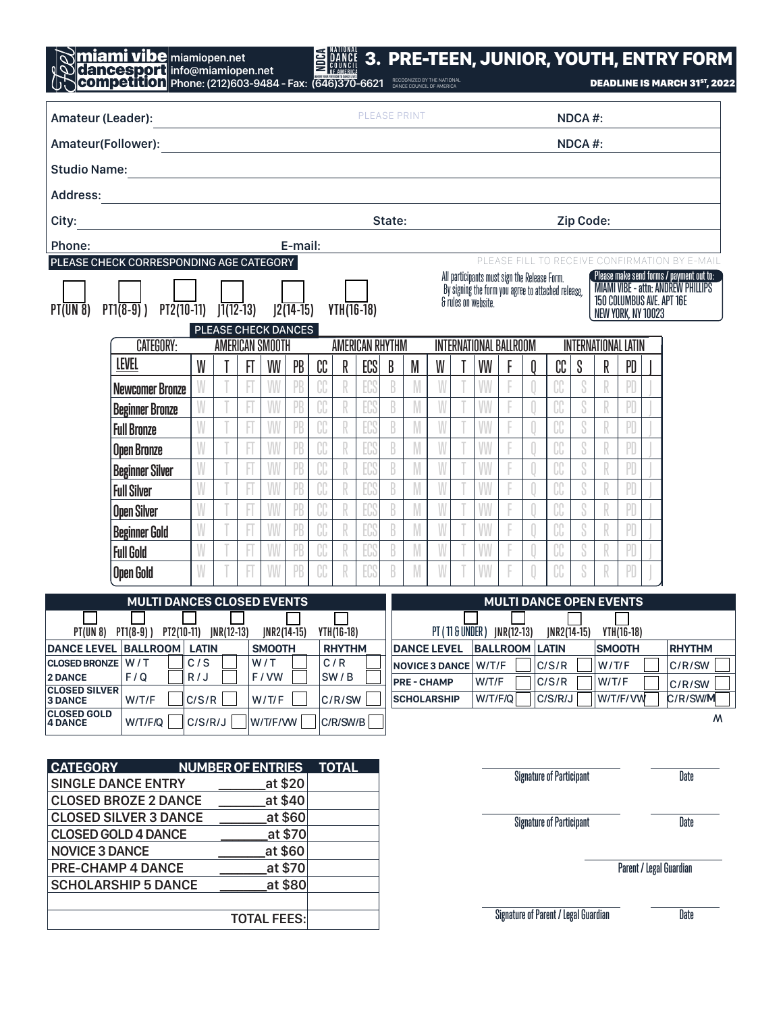| miamiopen.net      |                                    | <b>S MARCE 3. PRE-TEEN, JUNIOR, YOUTH, ENTRY FORM</b> |                          |
|--------------------|------------------------------------|-------------------------------------------------------|--------------------------|
| info@miamiopen.net | WHERE YOUR FREEDOM TO DANCE LIVES: |                                                       |                          |
|                    |                                    |                                                       | ------------------------ |

| <b>LUOD</b>   Phone: (212)603-9484 - Fax: (646)370-6621 BRECOGNIZED BY THE NATIONAL |  |
|-------------------------------------------------------------------------------------|--|
|                                                                                     |  |

**DEADLINE IS MARCH 31ST, 2022** 

| Amateur (Leader):                                                                  |                                                                                                                       |                          |  |               |                    |         | PLEASE PRINT                |              |              |        |                    |   |               |                                                                     |                                 |        | NDCA#:                                             |                                             |                         |                    |  |                                                                                                                    |  |
|------------------------------------------------------------------------------------|-----------------------------------------------------------------------------------------------------------------------|--------------------------|--|---------------|--------------------|---------|-----------------------------|--------------|--------------|--------|--------------------|---|---------------|---------------------------------------------------------------------|---------------------------------|--------|----------------------------------------------------|---------------------------------------------|-------------------------|--------------------|--|--------------------------------------------------------------------------------------------------------------------|--|
|                                                                                    |                                                                                                                       |                          |  |               |                    |         |                             |              |              |        |                    |   |               |                                                                     |                                 | NDCA#: |                                                    |                                             |                         |                    |  |                                                                                                                    |  |
| <b>Studio Name:</b>                                                                | <u> 1989 - Johann Barn, mars et al. 1989 - Anna ann an t-Anna ann an t-Anna ann an t-Anna ann an t-Anna ann an t-</u> |                          |  |               |                    |         |                             |              |              |        |                    |   |               |                                                                     |                                 |        |                                                    |                                             |                         |                    |  |                                                                                                                    |  |
| <b>Address:</b>                                                                    | <u> 1980 - Jan James, Amerikaansk politiker (</u>                                                                     |                          |  |               |                    |         |                             |              |              |        |                    |   |               |                                                                     |                                 |        |                                                    |                                             |                         |                    |  |                                                                                                                    |  |
| City:                                                                              | <u> 1989 - Johann Barn, mars et al. (</u>                                                                             |                          |  |               |                    |         |                             |              |              | State: |                    |   |               |                                                                     |                                 |        |                                                    | Zip Code:                                   |                         |                    |  |                                                                                                                    |  |
| Phone:                                                                             |                                                                                                                       |                          |  |               |                    | E-mail: |                             |              |              |        |                    |   |               |                                                                     |                                 |        |                                                    |                                             |                         |                    |  |                                                                                                                    |  |
|                                                                                    | PLEASE CHECK CORRESPONDING AGE CATEGORY                                                                               |                          |  |               |                    |         |                             |              |              |        |                    |   |               |                                                                     |                                 |        |                                                    |                                             |                         |                    |  | PLEASE FILL TO RECEIVE CONFIRMATION BY E-MAIL                                                                      |  |
| $PI$ (UN $8$ )                                                                     | $PI(8-9)$ $PI2(10-11)$ $JI(12-13)$ $J2(14-15)$                                                                        |                          |  |               |                    |         |                             |              | $YTH(16-18)$ |        |                    |   |               | All participants must sign the Release Form.<br>& rules on website. |                                 |        | By signing the form you agree to attached release, |                                             |                         | NEW YORK, NY 10023 |  | Please make send forms / payment out to:<br><b>MIAMI VIBE - attn: ANDREW PHILLIPS</b><br>150 COLUMBUS AVE. APT 16E |  |
| PLEASE CHECK DANCES<br><b>CATEGORY:</b><br>AMERICAN SMOOTH                         |                                                                                                                       |                          |  |               |                    |         | AMERICAN RHYTHM             |              |              |        |                    |   |               | INTERNATIONAL BALLROOM<br><b>INTERNATIONAL LATIN</b>                |                                 |        |                                                    |                                             |                         |                    |  |                                                                                                                    |  |
|                                                                                    | <b>LEVEL</b>                                                                                                          | W                        |  | FT            | W                  | PB      | CC                          | ECS<br>R     |              | B      | M                  | W |               | VW                                                                  |                                 | 0      | CC                                                 | S                                           | R                       | PD                 |  |                                                                                                                    |  |
|                                                                                    | <b>Newcomer Bronze</b>                                                                                                |                          |  |               |                    |         | CC                          | R            | EC           | B      | M                  | W |               | W                                                                   |                                 |        | CC                                                 | S                                           |                         |                    |  |                                                                                                                    |  |
|                                                                                    | <b>Beginner Bronze</b>                                                                                                |                          |  |               | W                  |         | CC                          | R            | ECS          | B      |                    |   |               | W                                                                   |                                 |        |                                                    |                                             | R                       | PD                 |  |                                                                                                                    |  |
|                                                                                    | <b>Full Bronze</b>                                                                                                    |                          |  |               |                    | PB      | CC                          | R            | ECS          | B      |                    |   |               | W                                                                   |                                 |        |                                                    | S                                           | R                       | PD                 |  |                                                                                                                    |  |
|                                                                                    | <b>Open Bronze</b>                                                                                                    | W                        |  |               | W                  | PB      | CC                          | R            | EC           | B      | M                  | W |               | W                                                                   |                                 |        | CC                                                 | S                                           | R                       | PD                 |  |                                                                                                                    |  |
|                                                                                    | <b>Beginner Silver</b>                                                                                                | W                        |  |               | W                  | PB      | CC                          | R            | ECS          | B      |                    | W |               | W                                                                   |                                 |        |                                                    | S                                           | $\mathbb R$             | PD                 |  |                                                                                                                    |  |
|                                                                                    | <b>Full Silver</b>                                                                                                    | W                        |  |               |                    | PB      | CC                          | R            | ECS          | B      |                    |   |               | W                                                                   |                                 |        |                                                    | S                                           | R                       | PD                 |  |                                                                                                                    |  |
|                                                                                    | <b>Open Silver</b>                                                                                                    | W                        |  |               | W                  | PB      | CC                          | R            | EC           | B      | M                  | W |               | W                                                                   |                                 |        | CC                                                 | S                                           | R                       | PD                 |  |                                                                                                                    |  |
|                                                                                    | <b>Beginner Gold</b>                                                                                                  | W                        |  |               | W                  | PB      | CC                          | R            | ECS          | B      |                    | W |               | W                                                                   |                                 |        |                                                    | S                                           | $\mathbb R$             | PD                 |  |                                                                                                                    |  |
|                                                                                    | <b>Full Gold</b>                                                                                                      | W                        |  |               |                    | PB      | CC                          | R            | ECS          | B      |                    |   |               | W                                                                   |                                 |        | Uυ                                                 | S                                           | R                       | PD                 |  |                                                                                                                    |  |
|                                                                                    | <b>Open Gold</b>                                                                                                      | W                        |  |               | W                  | PB      | CC                          |              | ECS          | R      |                    | W |               | W                                                                   |                                 |        | CC                                                 | S                                           | R                       | PD                 |  |                                                                                                                    |  |
|                                                                                    | <b>MULTI DANCES CLOSED EVENTS</b>                                                                                     |                          |  |               |                    |         |                             |              |              |        |                    |   |               |                                                                     |                                 |        |                                                    | <b>MULTI DANCE OPEN EVENTS</b>              |                         |                    |  |                                                                                                                    |  |
|                                                                                    |                                                                                                                       |                          |  |               |                    |         |                             |              |              |        |                    |   | $INR2(14-15)$ |                                                                     |                                 |        |                                                    |                                             |                         |                    |  |                                                                                                                    |  |
| PT(UN 8) PT1(8-9)) PT2(10-11) JNR(12-13) JNR2(14-15)<br>DANCE LEVEL BALLROOM LATIN |                                                                                                                       |                          |  | <b>SMOOTH</b> |                    |         | YTH(16-18)<br><b>RHYTHM</b> |              |              |        | <b>DANCE LEVEL</b> |   |               | PT (11 & UNDER) JNR(12-13)<br><b>BALLROOM LATIN</b>                 |                                 |        |                                                    | YTH(16-18)<br><b>SMOOTH</b>                 |                         |                    |  | <b>RHYTHM</b>                                                                                                      |  |
| CLOSED BRONZE W / T                                                                |                                                                                                                       | C/S                      |  |               | W/T                |         |                             | C/R          |              |        |                    |   |               | NOVICE 3 DANCE W/T/F                                                |                                 |        | C/S/R                                              |                                             | W/T/F                   |                    |  | C/R/SW                                                                                                             |  |
| <b>2 DANCE</b><br><b>CLOSED SILVER</b>                                             | F/Q                                                                                                                   | R/J                      |  |               | F/VW               |         | SW/B                        |              |              |        | <b>PRE-CHAMP</b>   |   |               |                                                                     | W/T/F $\Box$ C/S/R $\Box$ W/T/F |        |                                                    |                                             |                         |                    |  | C/R/SW                                                                                                             |  |
| <b>3 DANCE</b><br><b>CLOSED GOLD</b>                                               | W/T/F                                                                                                                 | C/S/R                    |  |               | W/T/F              |         |                             | C/R/SW       |              |        | <b>SCHOLARSHIP</b> |   |               | W/T/F/Q                                                             |                                 |        | C/S/R/J                                            |                                             |                         | W/T/F/VW           |  | C/R/SW/M                                                                                                           |  |
| <b>4 DANCE</b>                                                                     | W/T/F/Q                                                                                                               | C/S/R/J                  |  |               | W/T/F/WW           |         |                             | C/R/SW/B     |              |        |                    |   |               |                                                                     |                                 |        |                                                    |                                             |                         |                    |  | W                                                                                                                  |  |
|                                                                                    |                                                                                                                       |                          |  |               |                    |         |                             |              |              |        |                    |   |               |                                                                     |                                 |        |                                                    |                                             |                         |                    |  |                                                                                                                    |  |
| <b>CATEGORY</b>                                                                    | <b>SINGLE DANCE ENTRY</b>                                                                                             | <b>NUMBER OF ENTRIES</b> |  |               |                    | at \$20 |                             | <b>TOTAL</b> |              |        |                    |   |               |                                                                     |                                 |        | <b>Signature of Participant</b>                    |                                             |                         |                    |  | Date                                                                                                               |  |
|                                                                                    | <b>CLOSED BROZE 2 DANCE</b>                                                                                           |                          |  |               |                    | at \$40 |                             |              |              |        |                    |   |               |                                                                     |                                 |        |                                                    |                                             |                         |                    |  |                                                                                                                    |  |
| <b>CLOSED SILVER 3 DANCE</b><br>at \$60                                            |                                                                                                                       |                          |  |               |                    |         |                             |              |              |        |                    |   |               | <b>Signature of Participant</b><br>Date                             |                                 |        |                                                    |                                             |                         |                    |  |                                                                                                                    |  |
| at \$70<br><b>CLOSED GOLD 4 DANCE</b>                                              |                                                                                                                       |                          |  |               |                    |         |                             |              |              |        |                    |   |               |                                                                     |                                 |        |                                                    |                                             |                         |                    |  |                                                                                                                    |  |
|                                                                                    | at \$60<br><b>NOVICE 3 DANCE</b><br><b>PRE-CHAMP 4 DANCE</b><br>at \$70                                               |                          |  |               |                    |         |                             |              |              |        |                    |   |               |                                                                     |                                 |        |                                                    |                                             | Parent / Legal Guardian |                    |  |                                                                                                                    |  |
|                                                                                    | <b>SCHOLARSHIP 5 DANCE</b><br>at \$80                                                                                 |                          |  |               |                    |         |                             |              |              |        |                    |   |               |                                                                     |                                 |        |                                                    |                                             |                         |                    |  |                                                                                                                    |  |
|                                                                                    |                                                                                                                       |                          |  |               |                    |         |                             |              |              |        |                    |   |               |                                                                     |                                 |        |                                                    | <b>Signature of Parent / Legal Guardian</b> |                         |                    |  | Date                                                                                                               |  |
|                                                                                    |                                                                                                                       |                          |  |               | <b>TOTAL FEES:</b> |         |                             |              |              |        |                    |   |               |                                                                     |                                 |        |                                                    |                                             |                         |                    |  |                                                                                                                    |  |